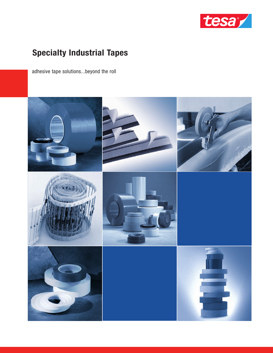

# **Specialty Industrial Tapes**

adhesive tape solutions...beyond the roll

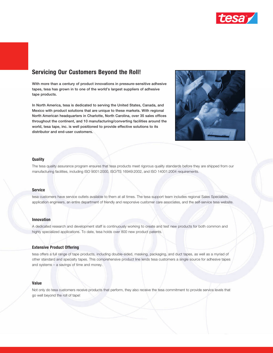

### **Servicing Our Customers Beyond the Roll!**

**With more than a century of product innovations in pressure-sensitive adhesive tapes, tesa has grown in to one of the world's largest suppliers of adhesive tape products.** 

**In North America, tesa is dedicated to serving the United States, Canada, and Mexico with product solutions that are unique to these markets. With regional North American headquarters in Charlotte, North Carolina, over 35 sales offices throughout the continent, and 10 manufacturing/converting facilities around the world, tesa tape, inc. is well positioned to provide effective solutions to its distributor and end-user customers.** 



#### **Quality**

The tesa quality assurance program ensures that tesa products meet rigorous quality standards before they are shipped from our manufacturing facilities, including ISO 9001:2000, ISO/TS 16949:2002, and ISO 14001:2004 requirements.

#### **Service**

tesa customers have service outlets available to them at all times. The tesa support team includes regional Sales Specialists, application engineers, an entire department of friendly and responsive customer care associates, and the self-service tesa website.

#### **Innovation**

A dedicated research and development staff is continuously working to create and test new products for both common and highly specialized applications. To date, tesa holds over 800 new product patents.

#### **Extensive Product Offering**

tesa offers a full range of tape products, including double-sided, masking, packaging, and duct tapes, as well as a myriad of other standard and specialty tapes. This comprehensive product line lends tesa customers a single source for adhesive tapes and systems – a savings of time and money.

#### **Value**

Not only do tesa customers receive products that perform, they also receive the tesa commitment to provide service levels that go well beyond the roll of tape!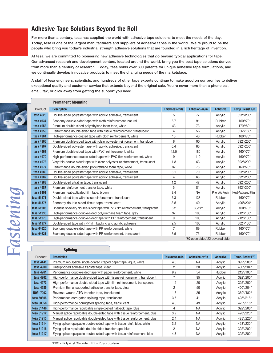### **Adhesive Tape Solutions Beyond the Roll**

**Permanent Mounting**

**For more than a century, tesa has supplied the world with adhesive tape solutions to meet the needs of the day. Today, tesa is one of the largest manufacturers and suppliers of adhesive tapes in the world. We're proud to be the people who bring you today's industrial strength adhesive solutions that are founded in a rich heritage of invention.**

**At tesa, we are committed to pioneering new adhesive technologies that go beyond typical applications for tape. Our advanced research and development centers, located around the world, bring you the best tape solutions derived from more than a century of research. Today, tesa holds over 800 patents for unique adhesive tape formulations, and we continually develop innovative products to meet the changing needs of the marketplace.**

**A staff of tesa engineers, scientists, and hundreds of other tape experts continue to make good on our promise to deliver exceptional quality and customer service that extends beyond the original sale. You're never more than a phone call, email, fax, or click away from getting the support you need.**



| Product          | <b>Description</b>                                                                 | <b>Thickness-mils</b> | Adhesion-oz/in | <b>Adhesive</b>       | Temp. Resist.F/C           |
|------------------|------------------------------------------------------------------------------------|-----------------------|----------------|-----------------------|----------------------------|
| <b>tesa 4928</b> | Double-sided polyester tape with acrylic adhesive, translucent                     | 5                     | 77             | Acrylic               | 392°/200°                  |
| tesa 4934        | Economy double-sided tape with cloth reinforcement, natural                        | 8.7                   | 91             | Rubber                | 160°/70°                   |
| tesa 4952        | Premium double-sided polyethylene foam tape, white                                 | 43                    | 73             | Acrylic               | 170°/80°                   |
| tesa 4959        | Performance double-sided tape with tissue reinforcement, translucent               | 4                     | 56             | Acrylic               | 356°/180°                  |
| tesa 4964        | High-performance coated tape with cloth reinforcement, white                       | 15                    | 40             | Rubber                | 160°/70°                   |
| tesa 4965        | Premium double-sided tape with clear polyester reinforcement, translucent          | 8                     | 90             | Acrylic               | 392°/200°                  |
| tesa 4967        | Double-sided polyester tape with acrylic adhesive, translucent                     | 6.4                   | 86             | Acrylic               | 392°/200°                  |
| tesa 4968        | Premium double-sided tape with PVC <sup>1</sup> reinforcement, white               | 12.5                  | 180            | Acrylic               | 160°/70°                   |
| tesa 4970        | High-performance double-sided tape with PVC film reinforcement, white              | 9                     | 110            | Acrylic               | 160°/70°                   |
| tesa 4972        | Very thin double-sided tape with clear polyester reinforcement, translucent        | 1.8                   | 63             | Acrylic               | 392°/200°                  |
| tesa 4977        | Performance double-sided polyurethane foam tape, white                             | 32                    | 75             | Acrylic               | 160°/70°                   |
| tesa 4980        | Double-sided polyester tape with acrylic adhesive, translucent                     | 3.1                   | 70             | Acrylic               | 392°/200°                  |
| tesa 4982        | Double-sided polyester tape with acrylic adhesive, translucent                     | 4                     | 68             | Acrylic               | 392°/200°                  |
| <b>tesa 4983</b> | Double-sided ultrathin tape, translucent                                           | 1.2                   | 47             | Acrylic               | 392°/200°                  |
| tesa 4987        | Premium reinforcement transfer tape, white                                         | 5                     | 81             | Acrylic               | 392°/200°                  |
| tesa 8401        | Premium heat-activated film tape, brown                                            | 8.4                   | <b>NA</b>      | <b>Phenolic Resin</b> | <b>Heat-Activated Film</b> |
| tesa 51571       | Double-sided tape with tissue reinforcement, translucent                           | 6.3                   | 138            | Rubber                | 160°/70°                   |
| tesa 51575       | Economy double-sided tissue tape, translucent                                      | 3.5                   | 40             | Acrylic               | 400°/204°                  |
| tesa 51903       | Linerless specialty double-sided tape with PVC film reinforcement, transparent     | 3.2                   | $30/22*$       | Acrylic               | 160°/70°                   |
| tesa 51930       | High-performance double-sided polyurethane foam tape, gray                         | 32                    | 100            | Acrylic               | 212°/100°                  |
| tesa 51970       | High-performance double-sided tape with PP <sup>2</sup> reinforcement, translucent | 9                     | 100            | Acrylic               | 212°/100°                  |
| tesa 51977       | Double-sided tape with PP film backing and acrylic adhesive                        | 9.5                   | 105            | Acrylic               | 302°/150°                  |
| tesa 64620       | Economy double-sided tape with PP reinforcement, white                             | $\overline{7}$        | 89             | Rubber                | 160°/70°                   |
| tesa 64621       | Economy double-sided tape with PP reinforcement, transparent                       | 3.5                   | 73             | Rubber                | 160°/70°                   |

\*30 open side / 22 covered side

#### **Splicing**

|                  | יייישטוי                                                                   |                       |                |                 |                           |
|------------------|----------------------------------------------------------------------------|-----------------------|----------------|-----------------|---------------------------|
| Product          | <b>Description</b>                                                         | <b>Thickness-mils</b> | Adhesion-oz/in | <b>Adhesive</b> | Temp. Resist.F/C          |
| tesa 4441        | Premium repulpable single-coated creped paper tape, agua, white            | 4.5                   | <b>NA</b>      | Acrylic         | 392°/200°                 |
| tesa 4900        | Unsupported adhesive transfer tape, clear                                  | 2                     | 30             | Acrylic         | 400°/204°                 |
| tesa 4961        | Performance double-sided tape with paper reinforcement, white              | 9.2                   | 54             | Rubber          | $212^{\circ}/100^{\circ}$ |
| tesa 4962        | High-performance double-sided tape with tissue reinforcement, translucent  | 7                     | 95             | Acrylic         | 392°/200°                 |
| tesa 4973        | High-performance double-sided tape with film reinforcement, transparent    | 1.2                   | 20             | Acrylic         | 392°/200°                 |
| tesa 4985        | Premium thin unsupported adhesive transfer tape, clear                     | 2                     | 50             | Acrylic         | 400°/204°                 |
| <b>NOPI 7002</b> | Reverse-wound ATG transfer tape, translucent                               | 1.6                   | 25             | Acrylic         | 360°/182°                 |
| tesa 50605       | Performance corrugated splicing tape, translucent                          | 3.7                   | 41             | Acrylic         | $425^{\circ}/218^{\circ}$ |
| tesa 50658       | High-performance corrugated splicing tape, translucent                     | 4.6                   | 49             | Acrylic         | 425°/218°                 |
| tesa 51446       | High-performance repulpable single-coated flatback tape, blue              | 4                     | <b>NA</b>      | Acrylic         | 392°/200°                 |
| tesa 51912       | Manual splice repulpable double-sided tape with tissue reinforcement, blue | 3.2                   | <b>NA</b>      | Acrylic         | 428°/220°                 |
| tesa 51913       | Manual splice repulpable double-sided tape with tissue reinforcement, blue | 2.4                   | <b>NA</b>      | Acrylic         | $428^{\circ}/220^{\circ}$ |
| tesa 51914       | Flying splice repulpable double-sided tape with tissue reinf., blue, white | 3.2                   | <b>NA</b>      | Acrylic         | 428°/220°                 |
| tesa 51915       | Flying splice repulpable double-sided transfer tape, blue                  | 2                     | <b>NA</b>      | Acrylic         | 392°/200°                 |
| tesa 51917       | Flying splice repulpable double-sided tape with tissue reinforcement, blue | 4.3                   | <b>NA</b>      | Acrylic         | 392°/200°                 |

*Fa s t e n i n g*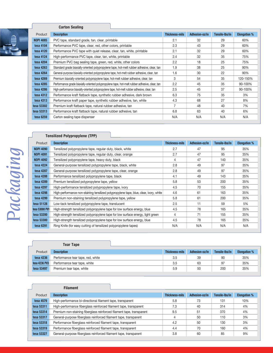

#### **Carton Sealing**

| Product          | <b>Description</b>                                                                            | <b>Thickness-mils</b> | Adhesion-oz/in | Tensile-Ibs/in | <b>Elongation %</b> |
|------------------|-----------------------------------------------------------------------------------------------|-----------------------|----------------|----------------|---------------------|
| <b>NOPI 4085</b> | PVC tape, standard grade, tan, clear, printable                                               | 2.1                   | 32             | 29             | 60%                 |
| tesa 4104        | Performance PVC tape, clear, red, other colors, printable                                     | 2.3                   | 43             | 29             | 60%                 |
| tesa 4120        | Performance PVC tape with quiet release, clear, tan, white, printable                         | 2.1                   | 32             | 29             | 60%                 |
| tesa 4124        | High-performance PVC tape, clear, tan, white, printable                                       | 2.4                   | 32             | 35             | 75%                 |
| tesa 4204        | Premium PVC bag sealing tape, green, red, white, other colors                                 | 2.2                   | 18             | 25             | 75%                 |
| tesa 4263        | Standard grade biaxially-oriented polypropylene tape, hot-melt rubber adhesive, clear, tan    | 1.9                   | 38             | 25             | 90%                 |
| tesa 4264        | General-purpose biaxially-oriented polypropylene tape, hot-melt rubber adhesive, clear, tan   | 1.6                   | 30             | 22             | 90%                 |
| tesa 4269        | Premium biaxially-oriented polypropylene tape, hot-melt rubber adhesive, clear, tan           | 3                     | 54             | 35             | 120-150%            |
| tesa 4285        | Performance grade biaxially-oriented polypropylene tape, hot-melt rubber adhesive, clear, tan | 2.2                   | 45             | 35             | 90-100%             |
| tesa 4286        | High-performance biaxially-oriented polypropylene tape, hot-melt rubber adhesive, clear, tan  | 2.5                   | 45             | 37             | 90-100%             |
| tesa 4312        | Performance kraft flatback tape, synthetic rubber adhesive, dark brown                        | 6.3                   | 75             | 35             | 3%                  |
| tesa 4313        | Performance kraft paper tape, synthetic rubber adhesive, tan, white                           | 4.3                   | 68             | 27             | 8%                  |
| tesa 53302       | Premium kraft flatback tape, natural rubber adhesive, tan                                     | 7                     | 48             | 40             | 7%                  |
| tesa 53313       | Performance kraft flatback tape, natural rubber adhesive, tan                                 | 6.8                   | 63             | 40             | 6%                  |
| tesa 6259        | Carton sealing tape dispenser                                                                 | N/A                   | N/A            | N/A            | N/A                 |

### **Tensilized Polypropylene (TPP)**

|   | ١ |
|---|---|
|   | ł |
| ۰ | ١ |
|   |   |
|   |   |
|   |   |
|   |   |

| Product          | <b>Description</b>                                                                     | <b>Thickness-mils</b> | Adhesion-oz/in | Tensile-Ibs/in | <b>Elongation %</b> |
|------------------|----------------------------------------------------------------------------------------|-----------------------|----------------|----------------|---------------------|
| <b>NOPI 4090</b> | Tensilized polypropylene tape, regular duty, black, white                              | 2.7                   | 47             | 95             | 35%                 |
| <b>NOPI 4091</b> | Tensilized polypropylene tape, regular duty, clear, orange                             | 2.7                   | 47             | 95             | 35%                 |
| <b>NOPI 4092</b> | Tensilized polypropylene tape, heavy duty, black                                       | 4                     | 47             | 140            | 35%                 |
| tesa 4224        | General-purpose tensilized polypropylene tape, black, white                            | 2.8                   | 49             | 97             | 35%                 |
| tesa 4287        | General-purpose tensilized polypropylene tape, clear, orange                           | 2.8                   | 49             | 97             | 35%                 |
| tesa 4288        | Performance tensilized polypropylene tape, black                                       | 4.1                   | 49             | 143            | 35%                 |
| tesa 4289        | Premium tensilized polypropylene tape, yellow                                          | 5.8                   | 53             | 200            | 35%                 |
| tesa 4297        | High-performance tensilized polypropylene tape, ivory                                  | 4.5                   | 70             | 155            | 35%                 |
| tesa 4298        | High-performance non-staining tensilized polypropylene tape, blue, clear, ivory, white | 4.6                   | 61             | 163            | 35%                 |
| tesa 4299        | Premium non-staining tensilized polypropylene tape, yellow                             | 5.8                   | 61             | 200            | 35%                 |
| tesa 51128       | Low-tack tensilized polypropylene tape, translucent                                    | 2.5                   | 11             | 59             | 5%                  |
| tesa 53000 PV1   | High-strength tensilized polypropylene tape for low surface energy, blue               | 4.5                   | 78             | 165            | 35%                 |
| tesa 53200       | High-strength tensilized polypropylene tape for low surface energy, light green        | 4                     | 71             | 155            | 35%                 |
| tesa 53300       | High-strength tensilized polypropylene tape for low surface energy, blue               | 4.5                   | 78             | 165            | 35%                 |
| tesa 6291        | Ring Knife (for easy cutting of tensilized polypropylene tapes)                        | N/A                   | N/A            | N/A            | N/A                 |

|               | <b>Tear Tape</b>                  |                       |                |                |                     |
|---------------|-----------------------------------|-----------------------|----------------|----------------|---------------------|
| Product       | <b>Description</b>                | <b>Thickness-mils</b> | Adhesion-oz/in | Tensile-lbs/in | <b>Elongation %</b> |
| tesa 4236     | Performance tear tape, red, white | 3.5                   | 39             | 90             | 35%                 |
| tesa 4236 PV3 | Performance tear tape, white      | 3.5                   | 63             | 97             | 35%                 |
| tesa 53497    | Premium tear tape, white          | 5.9                   | 50             | 200            | 35%                 |

### **Filament**

| Product    | <b>Description</b>                                                    | <b>Thickness-mils</b> | Adhesion-oz/in | Tensile-Ibs/in | <b>Elongation %</b> |
|------------|-----------------------------------------------------------------------|-----------------------|----------------|----------------|---------------------|
| tesa 4579  | High-performance bi-directional filament tape, transparent            | 5.8                   | 73             | 131            | 10%                 |
| tesa 53311 | High-performance fiberglass reinforced filament tape, transparent     | 7.3                   | 40             | 314            | 4%                  |
| tesa 53314 | Premium non-staining fiberglass reinforced filament tape, transparent | 9.5                   | 51             | 370            | 4%                  |
| tesa 53317 | General-purpose fiberglass reinforced filament tape, transparent      |                       | 50             | 110            | 3%                  |
| tesa 53318 | Performance fiberglass reinforced filament tape, transparent          | 4.2                   | 50             | 130            | 3%                  |
| tesa 53319 | Performance fiberglass reinforced filament tape, transparent          | 4.4                   | 70             | 160            | 4%                  |
| tesa 53327 | General-purpose fiberglass reinforced filament tape, transparent      | 3.8                   | 60             | 85             | 9%                  |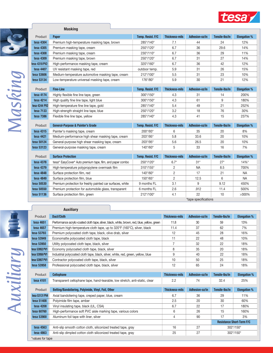

| Product                  | <b>Paper</b>                                                                           | Temp. Resist. F/C        | <b>Thickness-mils</b> | Adhesion-oz/in | Tensile-Ibs/in | <b>Elongation</b> % |
|--------------------------|----------------------------------------------------------------------------------------|--------------------------|-----------------------|----------------|----------------|---------------------|
| tesa 4304                | Premium high-temperature masking tape, brown                                           | 285°/140°                | 7.1                   | 44             | 24             | 12%                 |
| tesa 4305                | Premium masking tape, cream                                                            | 250°/120°                | 6.7                   | 36             | 29.6           | 14%                 |
| tesa 4308                | Premium masking tape, cream                                                            | 230°/110°                | 6.7                   | 36             | 29             | 11%                 |
| tesa 4309                | Premium masking tape, brown                                                            | 250°/120°                | 6.7                   | 31             | 27             | 14%                 |
| tesa 4318 PV2            | High-performance masking tape, cream                                                   | 320°/160°                | 6.7                   | 36             | 42             | 12%                 |
| tesa 4407                | UV resistant masking tape, red                                                         | outdoor temp.            | 5.9                   | 31             | 26             | 15%                 |
| tesa 53606               | Medium-temperature automotive masking tape, cream                                      | 212°/100°                | 5.5                   | 31             | 23             | 10%                 |
| tesa 53134               | Low-temperature universal masking tape, cream                                          | 176°/80°                 | 5.9                   | 30             | 21             | 12%                 |
| Product                  | <b>Fine-Line</b>                                                                       | Temp. Resist. F/C        | <b>Thickness-mils</b> | Adhesion-oz/in | Tensile-Ibs/in | <b>Elongation %</b> |
| tesa 4174                | Highly flexible fine line tape, green                                                  | 300°/150°                | 4.3                   | 31             | 14             | 200%                |
| tesa 4214                | High quality fine line tape, light blue                                                | 300°/150°                | 4.3                   | 61             | 9              | 180%                |
| tesa 4244 PV2            | High-temperature fine line tape, gold                                                  | 285°/140°                | 5.4                   | 49             | 21             | 252%                |
| tesa 7133                | High-strength straight line tape, blue                                                 | 250°/120°                | 3.2                   | 18             | 76             | 30%                 |
| tesa 7386                | Flexible fine line tape, yellow                                                        | 285°/140°                | 4.3                   | 41             | 15             | 237%                |
|                          |                                                                                        |                          |                       |                |                |                     |
| Product                  | <b>General-Purpose &amp; Painter's Grade</b>                                           | Temp. Resist. F/C        | <b>Thickness-mils</b> | Adhesion-oz/in | Tensile-Ibs/in | <b>Elongation %</b> |
| tesa 4315                | Painter's masking tape, cream                                                          | 200°/93°                 | 6                     | 35             | 20             | 8%                  |
| tesa 4421                |                                                                                        |                          |                       |                |                |                     |
|                          | Medium-performance high shear masking tape, cream                                      | 203°/95°                 | 5.8                   | 33.6           | 20             | 10%                 |
| tesa 50124               | General-purpose high shear masking tape, cream                                         | 203°/95°                 | 5.6                   | 26.5           | 20             | 10%                 |
| tesa 53123               | General-purpose masking tape, cream                                                    | 140°/60°                 | 5                     | 33             | 16             | 7%                  |
|                          |                                                                                        |                          |                       |                |                |                     |
| Product                  | <b>Surface Protection</b>                                                              | Temp. Resist. F/C        | <b>Thickness-mils</b> | Adhesion-oz/in | Tensile-Ibs/in | <b>Elongation %</b> |
| <b>tesa 4378</b>         | tesa® EasyCover® Auto premium tape, film, and paper combo                              | 250°/120°                | $6.7*$                | $31*$          | $27*$          | $14\%$ *            |
| tesa 4379                | High-temperature polypropylene overmask film                                           | 310°/155°                | $\overline{c}$        | <b>NA</b>      | 8.5            | 700%                |
| tesa 4848                | Surface protection film, red                                                           | 140°/60°                 | $\overline{c}$        | 17             | 21             | <b>NA</b>           |
| tesa 4849                | Surface protection film, blue                                                          | 150°/65°                 | $\overline{c}$        | 12.5           | 6              | <b>NA</b>           |
| tesa 50530               | Premium protection for freshly painted car surfaces, white                             | 9 months FL              | 3.1                   | 9              | 9.12           | 450%                |
| tesa 50550<br>tesa 51136 | Premium protection for automobile glass, transparent<br>Surface protection film, green | 6 months FL<br>212°/100° | 2.6<br>4.1            | .912<br>22     | 11.4<br>10     | 500%<br>$>300\%$    |

**Auxiliary**

**Masking**

\*tape specifications

| Product          | <b>Duct/Cloth</b>                                                                            | <b>Thickness-mils</b> | Adhesion-oz/in | Tensile-Ibs/in | <b>Elongation %</b>              |
|------------------|----------------------------------------------------------------------------------------------|-----------------------|----------------|----------------|----------------------------------|
| tesa 4651        | Performance acrylic-coated cloth tape, silver, black, white, brown, red, blue, yellow, green | 11.8                  | 30             | 59             | 13%                              |
| tesa 4657        | Premium high-temperature cloth tape, up to 320°F (160°C), silver, black                      | 11.4                  | 37             | 62             | 7%                               |
| tesa 53793       | Premium polycoated cloth tape, black, olive drab, silver                                     | 12                    | 45             | 28             | 16%                              |
| tesa 53949       | Economatte polycoated cloth tape, black                                                      | 11                    | 22             | 48             | 10%                              |
| tesa 53950       | Utility polycoated cloth tape, black, silver                                                 | $\overline{7}$        | 32             | 22             | 18%                              |
| tesa 53952 PV1   | Economy polycoated cloth tape, black, silver                                                 | 8                     | 35             | 20             | 18%                              |
| tesa 53956 PV1   | Industrial polycoated cloth tape, black, silver, white, red, green, yellow, blue             | 9                     | 40             | 22             | 18%                              |
| tesa 53957 PV1   | Contractor polycoated cloth tape, black, silver                                              | 10                    | 50             | 25             | 18%                              |
| tesa 53958       | Professional polycoated cloth tape, black, silver                                            | 12                    | 65             | 24             | 18%                              |
|                  |                                                                                              |                       |                |                |                                  |
| Product          | <b>Cellophane</b>                                                                            | <b>Thickness-mils</b> | Adhesion-oz/in | Tensile-Ibs/in | <b>Elongation %</b>              |
| tesa 4101        | Transparent cellophane tape, hand-tearable, low stretch, anti-static, clear                  | 2.2                   | 74             | 32.4           | 25%                              |
|                  |                                                                                              |                       |                |                |                                  |
| Product          | Belting/Bandoliering, Polyimide, Vinyl, Foil, Other                                          | <b>Thickness-mils</b> | Adhesion-oz/in | Tensile-Ibs/in | <b>Elongation %</b>              |
| tesa 53131 PV4   | Axial bandoliering tape, creped paper, blue, cream                                           | 6.7                   | 36             | 29             | 11%                              |
| tesa 51408       | Polyimide film tape, amber                                                                   | 2.5                   | 20             | 30             | 60%                              |
| tesa 4208        | Vinyl insulating tape, black (UL, CSA)                                                       | 6.7                   | 22             | 17             | 180%                             |
| tesa 60760       | High-performance soft PVC aisle marking tape, various colors                                 | 6                     | 26             | 15             | 160%                             |
| tesa 53900       | Aluminum foil tape with liner, silver                                                        | 4                     | 90             | 17             | 3%                               |
|                  |                                                                                              |                       |                |                | <b>Resistance Short-Term F/C</b> |
| tesa 4563        | Anti-slip smooth cotton cloth, siliconized treated tape, gray                                | 16                    | 27             |                | $302^{\circ}/150^{\circ}$        |
| tesa 4863        | Anti-slip dimpled cotton cloth siliconized treated tape, gray                                | 25                    | 27             | 302°/150°      |                                  |
| *values for tane |                                                                                              |                       |                |                |                                  |

\*values for tape

*A*

*u*

*x i l i a r y*